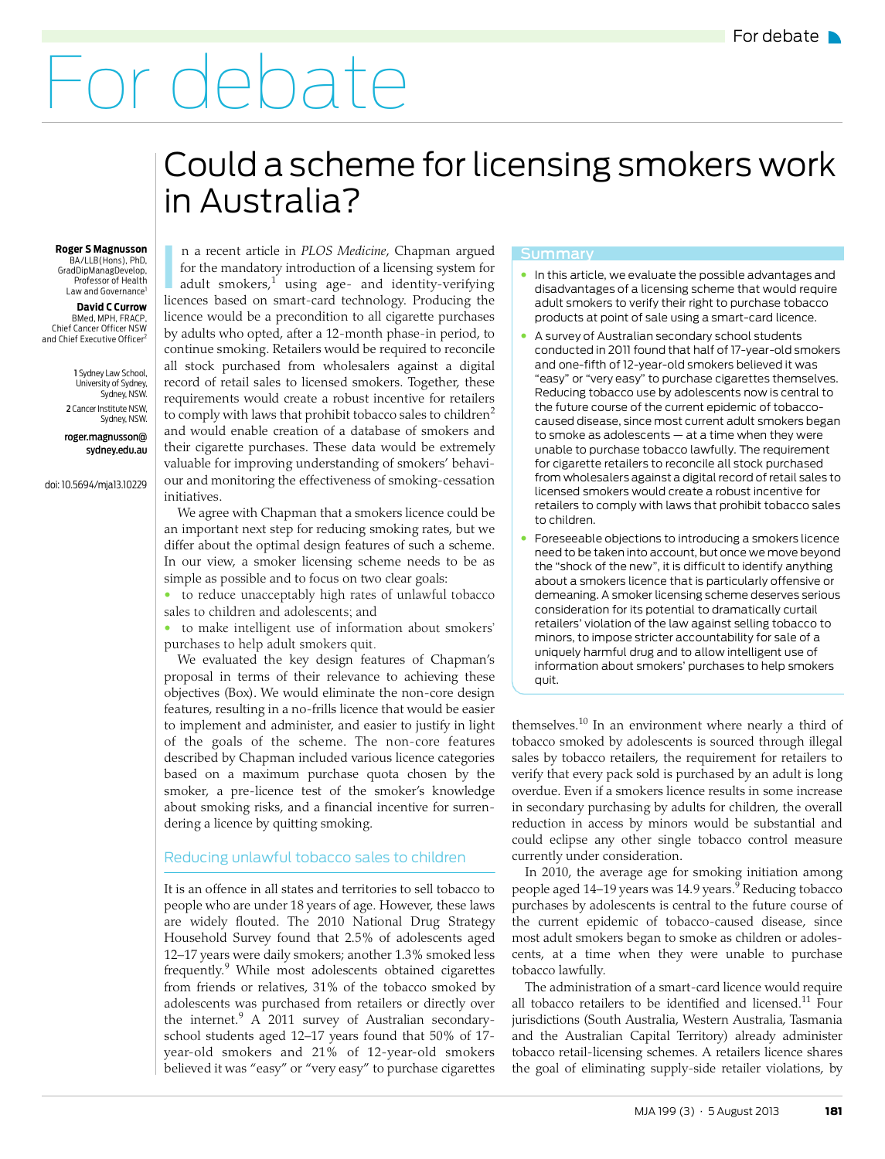# or debate

# <span id="page-0-0"></span>Could a scheme for licensing smokers work in Australia?

#### **Roger S Magnusson** BA/LLB(Hons), PhD,

GradDipManagDevelop, Professor of Health Law and Governance

**David C Currow** BMed, MPH, FRACP, Chief Cancer Officer NSW and Chief Executive Officer<sup>2</sup>

> 1 Sydney Law School, University of Sydney, Sydney, NSW. 2 Cancer Institute NSW, Sydney, NSW.

roger.magnusson@ sydney.edu.au

doi: 10.5694/mja13.10229

n a recent article in *PLOS Medicine*, Chapman argued for the mandatory introduction of a licensing system for adult smokers, $^1$  $^1$  using age- and identity-verifying n a recent article in *PLOS Medicine*, Chapman argued for the mandatory introduction of a licensing system for adult smokers,<sup>1</sup> using age- and identity-verifying licences based on smart-card technology. Producing the licence would be a precondition to all cigarette purchases by adults who opted, after a 12-month phase-in period, to continue smoking. Retailers would be required to reconcile all stock purchased from wholesalers against a digital record of retail sales to licensed smokers. Together, these requirements would create a robust incentive for retailers to comply with laws that prohibit tobacco sales to children<sup>[2](#page-3-1)</sup> and would enable creation of a database of smokers and their cigarette purchases. These data would be extremely valuable for improving understanding of smokers' behaviour and monitoring the effectiveness of smoking-cessation initiatives.

We agree with Chapman that a smokers licence could be an important next step for reducing smoking rates, but we differ about the optimal design features of such a scheme. In our view, a smoker licensing scheme needs to be as simple as possible and to focus on two clear goals:

• to reduce unacceptably high rates of unlawful tobacco sales to children and adolescents; and

• to make intelligent use of information about smokers' purchases to help adult smokers quit.

We evaluated the key design features of Chapman's proposal in terms of their relevance to achieving these objectives (Box). We would eliminate the non-core design features, resulting in a no-frills licence that would be easier to implement and administer, and easier to justify in light of the goals of the scheme. The non-core features described by Chapman included various licence categories based on a maximum purchase quota chosen by the smoker, a pre-licence test of the smoker's knowledge about smoking risks, and a financial incentive for surrendering a licence by quitting smoking.

#### Reducing unlawful tobacco sales to children

Household Survey found that 2.5% of adolescents aged  $\mid$  12–17 years were daily smokers; another 1.3% smoked less  $\int$  frequently. $\frac{9}{2}$  While m[o](#page-3-2)st adolescents obtained cigarettes from friends or relatives, 31% of the tobacco smoked by It is an offence in all states and territories to sell tobacco to people who are under 18 years of age. However, these laws are widely flouted. The 2010 National Drug Strategy adolescents was purchased from retailers or directly over the internet.<sup>[9](#page-3-2)</sup> A 2011 survey of Australian secondaryschool students aged 12–17 years found that 50% of 17 year-old smokers and 21% of 12-year-old smokers believed it was "easy" or "very easy" to purchase cigarettes

#### Summary

- In this article, we evaluate the possible advantages and disadvantages of a licensing scheme that would require adult smokers to verify their right to purchase tobacco products at point of sale using a smart-card licence.
- A survey of Australian secondary school students conducted in 2011 found that half of 17-year-old smokers and one-fifth of 12-year-old smokers believed it was "easy" or "very easy" to purchase cigarettes themselves. Reducing tobacco use by adolescents now is central to the future course of the current epidemic of tobaccocaused disease, since most current adult smokers began to smoke as adolescents — at a time when they were unable to purchase tobacco lawfully. The requirement for cigarette retailers to reconcile all stock purchased from wholesalers against a digital record of retail sales to licensed smokers would create a robust incentive for retailers to comply with laws that prohibit tobacco sales to children.
- Foreseeable objections to introducing a smokers licence need to be taken into account, but once we move beyond the "shock of the new", it is difficult to identify anything about a smokers licence that is particularly offensive or demeaning. A smoker licensing scheme deserves serious consideration for its potential to dramatically curtail retailers' violation of the law against selling tobacco to minors, to impose stricter accountability for sale of a uniquely harmful drug and to allow intelligent use of information about smokers' purchases to help smokers quit.

themselves.[10](#page-3-3) In an environment where nearly a third of tobacco smoked by adolescents is sourced through illegal sales by tobacco retailers, the requirement for retailers to verify that every pack sold is purchased by an adult is long overdue. Even if a smokers licence results in some increase in secondary purchasing by adults for children, the overall reduction in access by minors would be substantial and could eclipse any other single tobacco control measure currently under consideration.

In 2010, the average age for smoking initiation among people aged 14–1[9](#page-3-2) years was 14.9 years.<sup>9</sup> Reducing tobacco purchases by adolescents is central to the future course of the current epidemic of tobacco-caused disease, since most adult smokers began to smoke as children or adolescents, at a time when they were unable to purchase tobacco lawfully.

The administration of a smart-card licence would require all tobacco retailers to be identified and licensed.<sup>11</sup> Four jurisdictions (South Australia, Western Australia, Tasmania and the Australian Capital Territory) already administer tobacco retail-licensing schemes. A retailers licence shares the goal of eliminating supply-side retailer violations, by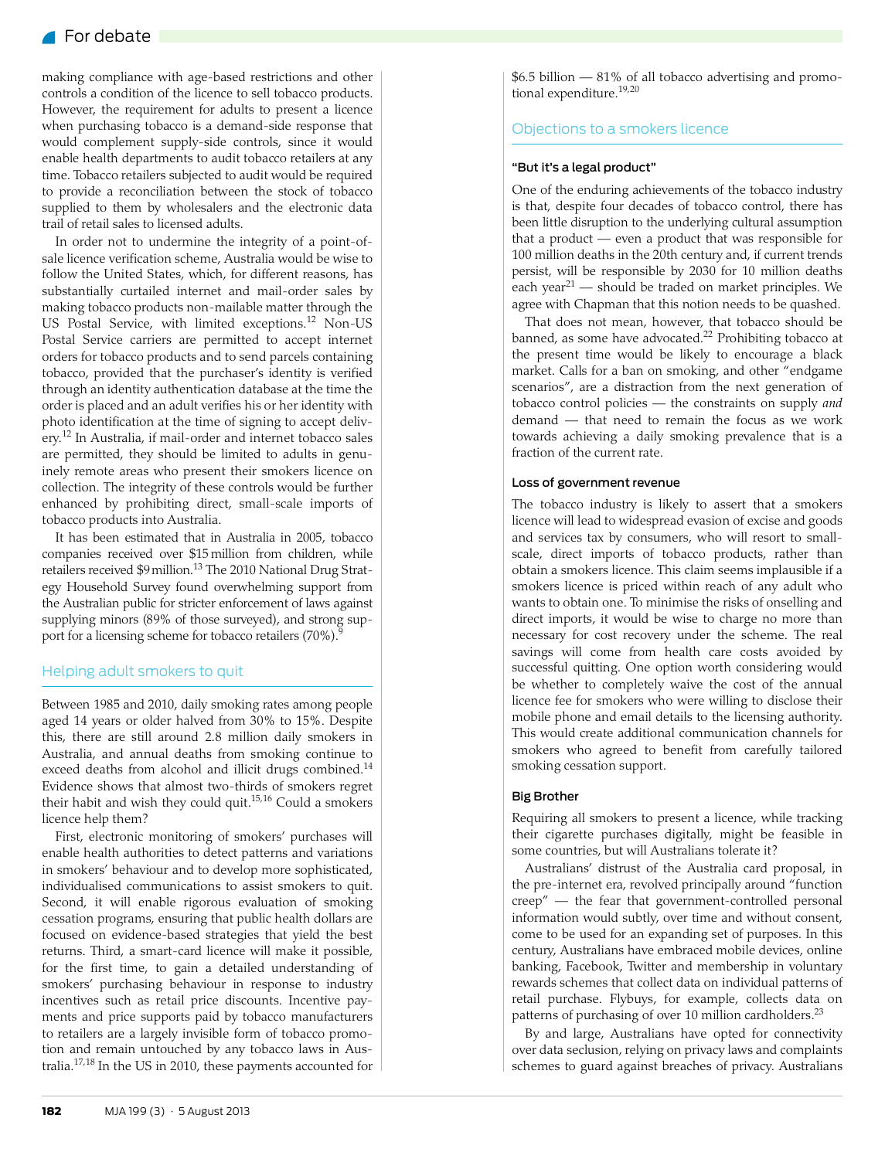making compliance with age-based restrictions and other controls a condition of the licence to sell tobacco products. However, the requirement for adults to present a licence when purchasing tobacco is a demand-side response that would complement supply-side controls, since it would enable health departments to audit tobacco retailers at any time. Tobacco retailers subjected to audit would be required to provide a reconciliation between the stock of tobacco supplied to them by wholesalers and the electronic data trail of retail sales to licensed adults.

In order not to undermine the integrity of a point-ofsale licence verification scheme, Australia would be wise to follow the United States, which, for different reasons, has substantially curtailed internet and mail-order sales by making tobacco products non-mailable matter through the US Postal Service, with limited exceptions.<sup>12</sup> Non-US Postal Service carriers are permitted to accept internet orders for tobacco products and to send parcels containing tobacco, provided that the purchaser's identity is verified through an identity authentication database at the time the order is placed and an adult verifies his or her identity with photo identification at the time of signing to accept delivery.[12](#page-3-6) In Australia, if mail-order and internet tobacco sales are permitted, they should be limited to adults in genuinely remote areas who present their smokers licence on collection. The integrity of these controls would be further enhanced by prohibiting direct, small-scale imports of tobacco products into Australia.

It has been estimated that in Australia in 2005, tobacco companies received over \$15 million from children, while retailers received \$9 million.<sup>13</sup> The 2010 National Drug Strategy Household Survey found overwhelming support from the Australian public for stricter enforcement of laws against supplying minors (89% of those surveyed), and strong sup-port for a licensing scheme for tobacco retailers (70%).<sup>[9](#page-3-2)</sup>

#### Helping adult smokers to quit

Between 1985 and 2010, daily smoking rates among people aged 14 years or older halved from 30% to 15%. Despite this, there are still around 2.8 million daily smokers in Australia, and annual deaths from smoking continue to exceed deaths from alcohol and illicit drugs combined.<sup>[14](#page-3-8)</sup> Evidence shows that almost two-thirds of smokers regret their habit and wish they could quit[.15](#page-3-17),[16](#page-3-9) Could a smokers licence help them?

First, electronic monitoring of smokers' purchases will enable health authorities to detect patterns and variations in smokers' behaviour and to develop more sophisticated, individualised communications to assist smokers to quit. Second, it will enable rigorous evaluation of smoking cessation programs, ensuring that public health dollars are focused on evidence-based strategies that yield the best returns. Third, a smart-card licence will make it possible, for the first time, to gain a detailed understanding of smokers' purchasing behaviour in response to industry incentives such as retail price discounts. Incentive payments and price supports paid by tobacco manufacturers to retailers are a largely invisible form of tobacco promotion and remain untouched by any tobacco laws in Australia.[17,](#page-3-10)[18](#page-3-11) In the US in 2010, these payments accounted for \$6.5 billion — 81% of all tobacco advertising and promo-tional expenditure.<sup>[19](#page-3-12),[20](#page-3-13)</sup>

#### Objections to a smokers licence

#### "But it's a legal product"

One of the enduring achievements of the tobacco industry is that, despite four decades of tobacco control, there has been little disruption to the underlying cultural assumption that a product — even a product that was responsible for 100 million deaths in the 20th century and, if current trends persist, will be responsible by 2030 for 10 million deaths each year $^{21}$  $^{21}$  $^{21}$  — should be traded on market principles. We agree with Chapman that this notion needs to be quashed.

That does not mean, however, that tobacco should be banned, as some have advocated.<sup>22</sup> Prohibiting tobacco at the present time would be likely to encourage a black market. Calls for a ban on smoking, and other "endgame scenarios", are a distraction from the next generation of tobacco control policies — the constraints on supply *and* demand — that need to remain the focus as we work towards achieving a daily smoking prevalence that is a fraction of the current rate.

#### Loss of government revenue

The tobacco industry is likely to assert that a smokers licence will lead to widespread evasion of excise and goods and services tax by consumers, who will resort to smallscale, direct imports of tobacco products, rather than obtain a smokers licence. This claim seems implausible if a smokers licence is priced within reach of any adult who wants to obtain one. To minimise the risks of onselling and direct imports, it would be wise to charge no more than necessary for cost recovery under the scheme. The real savings will come from health care costs avoided by successful quitting. One option worth considering would be whether to completely waive the cost of the annual licence fee for smokers who were willing to disclose their mobile phone and email details to the licensing authority. This would create additional communication channels for smokers who agreed to benefit from carefully tailored smoking cessation support.

#### Big Brother

Requiring all smokers to present a licence, while tracking their cigarette purchases digitally, might be feasible in some countries, but will Australians tolerate it?

Australians' distrust of the Australia card proposal, in the pre-internet era, revolved principally around "function creep" — the fear that government-controlled personal information would subtly, over time and without consent, come to be used for an expanding set of purposes. In this century, Australians have embraced mobile devices, online banking, Facebook, Twitter and membership in voluntary rewards schemes that collect data on individual patterns of retail purchase. Flybuys, for example, collects data on patterns of purchasing of over 10 million cardholders.<sup>23</sup>

By and large, Australians have opted for connectivity over data seclusion, relying on privacy laws and complaints schemes to guard against breaches of privacy. Australians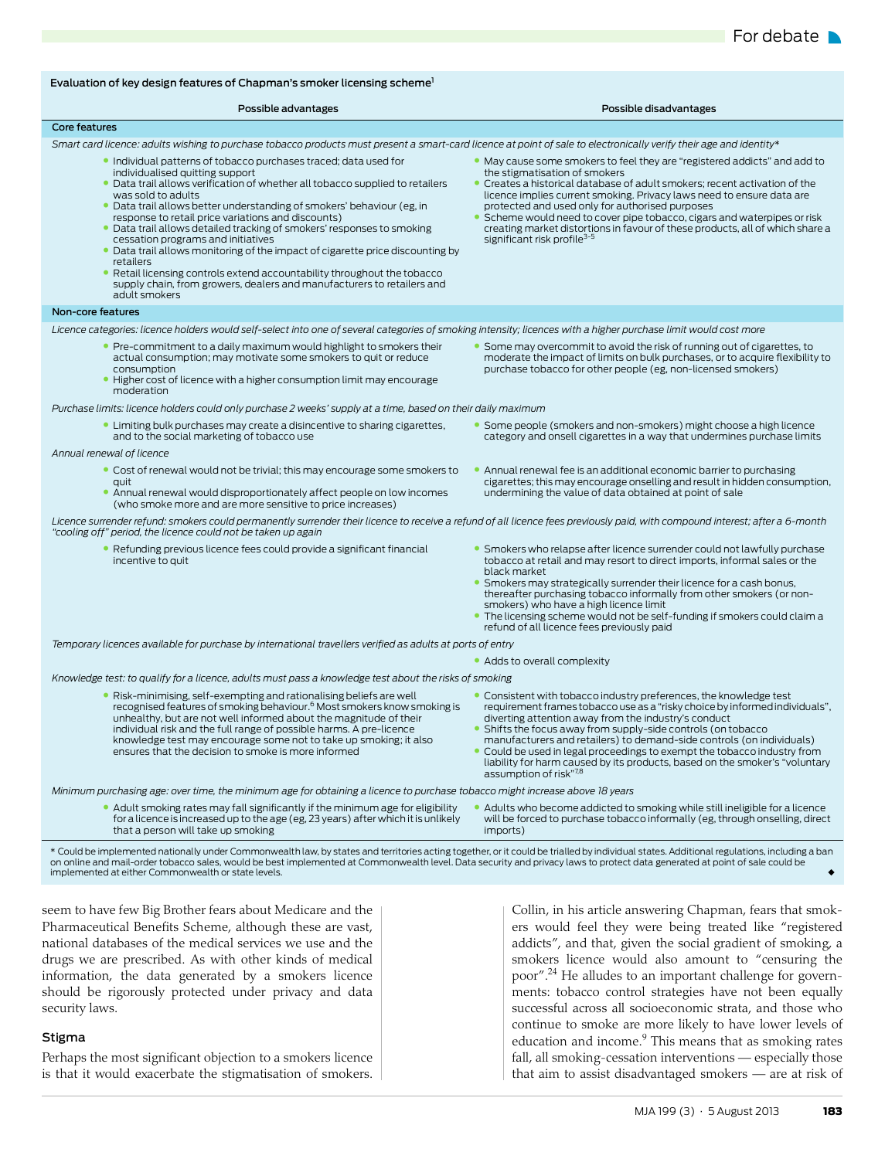#### Evaluation of key design features of Chapman's smoker licensing scheme<sup>1</sup> Possible advantages Possible disadvantages Core features *Smart card licence: adults wishing to purchase tobacco products must present a smart-card licence at point of sale to electronically verify their age and identity*\* • Individual patterns of tobacco purchases traced; data used for individualised quitting support • Data trail allows verification of whether all tobacco supplied to retailers was sold to adults • Data trail allows better understanding of smokers' behaviour (eg, in response to retail price variations and discounts) • Data trail allows detailed tracking of smokers' responses to smoking cessation programs and initiatives • Data trail allows monitoring of the impact of cigarette price discounting by retailers • Retail licensing controls extend accountability throughout the tobacco supply chain, from growers, dealers and manufacturers to retailers and adult smokers • May cause some smokers to feel they are "registered addicts" and add to the stigmatisation of smokers • Creates a historical database of adult smokers; recent activation of the licence implies current smoking. Privacy laws need to ensure data are protected and used only for authorised purposes • Scheme would need to cover pipe tobacco, cigars and waterpipes or risk creating market distortions in favour of these products, all of which share a significant risk profile<sup>3-5</sup> Non-core features *Licence categories: licence holders would self-select into one of several categories of smoking intensity; licences with a higher purchase limit would cost more* • Pre-commitment to a daily maximum would highlight to smokers their actual consumption; may motivate some smokers to quit or reduce consumption • Higher cost of licence with a higher consumption limit may encourage moderation • Some may overcommit to avoid the risk of running out of cigarettes, to moderate the impact of limits on bulk purchases, or to acquire flexibility to purchase tobacco for other people (eg, non-licensed smokers) *Purchase limits: licence holders could only purchase 2 weeks' supply at a time, based on their daily maximum* • Limiting bulk purchases may create a disincentive to sharing cigarettes, and to the social marketing of tobacco use • Some people (smokers and non-smokers) might choose a high licence category and onsell cigarettes in a way that undermines purchase limits *Annual renewal of licence* • Cost of renewal would not be trivial; this may encourage some smokers to quit • Annual renewal would disproportionately affect people on low incomes (who smoke more and are more sensitive to price increases) • Annual renewal fee is an additional economic barrier to purchasing cigarettes; this may encourage onselling and result in hidden consumption, undermining the value of data obtained at point of sale *Licence surrender refund: smokers could permanently surrender their licence to receive a refund of all licence fees previously paid, with compound interest; after a 6-month "cooling off" period, the licence could not be taken up again* • Refunding previous licence fees could provide a significant financial incentive to quit • Smokers who relapse after licence surrender could not lawfully purchase tobacco at retail and may resort to direct imports, informal sales or the black market • Smokers may strategically surrender their licence for a cash bonus, thereafter purchasing tobacco informally from other smokers (or nonsmokers) who have a high licence limit • The licensing scheme would not be self-funding if smokers could claim a refund of all licence fees previously paid *Temporary licences available for purchase by international travellers verified as adults at ports of entry* • Adds to overall complexity *Knowledge test: to qualify for a licence, adults must pass a knowledge test about the risks of smoking* • Risk-minimising, self-exempting and rationalising beliefs are well recognised features of smoking behaviour.6 Most smokers know smoking is unhealthy, but are not well informed about the magnitude of their individual risk and the full range of possible harms. A pre-licence knowledge test may encourage some not to take up smoking; it also ensures that the decision to smoke is more informed • Consistent with tobacco industry preferences, the knowledge test requirement frames tobacco use as a "risky choice by informed individuals", diverting attention away from the industry's conduct Shifts the focus away from supply-side controls (on tobacco manufacturers and retailers) to demand-side controls (on individuals) • Could be used in legal proceedings to exempt the tobacco industry from liability for harm caused by its products, based on the smoker's "voluntary assumption of risk' *Minimum purchasing age: over time, the minimum age for obtaining a licence to purchase tobacco might increase above 18 years* • Adult smoking rates may fall significantly if the minimum age for eligibility for a licence is increased up to the age (eg, 23 years) after which it is unlikely • Adults who become addicted to smoking while still ineligible for a licence will be forced to purchase tobacco informally (eg, through onselling, direct

that a person will take up smoking imports) \* Could be implemented nationally under Commonwealth law, by states and territories acting together, or it could be trialled by individual states. Additional regulations, including a ban

on online and mail-order tobacco sales, would be best implemented at Commonwealth level. Data security and privacy laws to protect data generated at point of sale could be implemented at either Commonwealth or state levels.

seem to have few Big Brother fears about Medicare and the Pharmaceutical Benefits Scheme, although these are vast, national databases of the medical services we use and the drugs we are prescribed. As with other kinds of medical information, the data generated by a smokers licence should be rigorously protected under privacy and data security laws.

## Stigma

Perhaps the most significant objection to a smokers licence is that it would exacerbate the stigmatisation of smokers.

Collin, in his article answering Chapman, fears that smokers would feel they were being treated like "registered addicts", and that, given the social gradient of smoking, a smokers licence would also amount to "censuring the poor".[24](#page-3-18) He alludes to an important challenge for governments: tobacco control strategies have not been equally successful across all socioeconomic strata, and those who continue to smoke are more likely to have lower levels of education and income.<sup>9</sup> This means that as smoking rates fall, all smoking-cessation interventions — especially those that aim to assist disadvantaged smokers — are at risk of